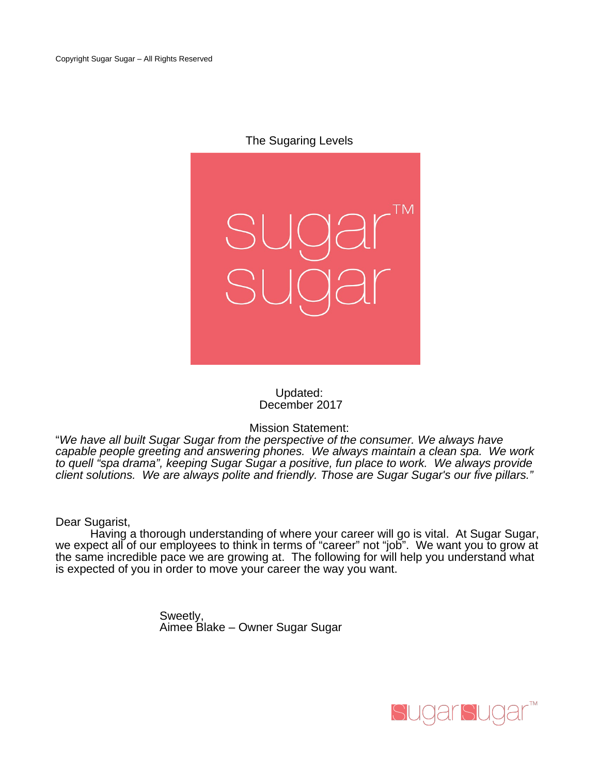The Sugaring Levels



### Updated: December 2017

Mission Statement:

"We have all built Sugar Sugar from the perspective of the consumer. We always have capable people greeting and answering phones. We always maintain a clean spa. We work to quell "spa drama", keeping Sugar Sugar a positive, fun place to work. We always provide client solutions. We are always polite and friendly. Those are Sugar Sugar's our five pillars."

Dear Sugarist,

Having a thorough understanding of where your career will go is vital. At Sugar Sugar, we expect all of our employees to think in terms of "career" not "job". We want you to grow at the same incredible pace we are growing at. The following for will help you understand what is expected of you in order to move your career the way you want.

> Sweetly, Aimee Blake – Owner Sugar Sugar

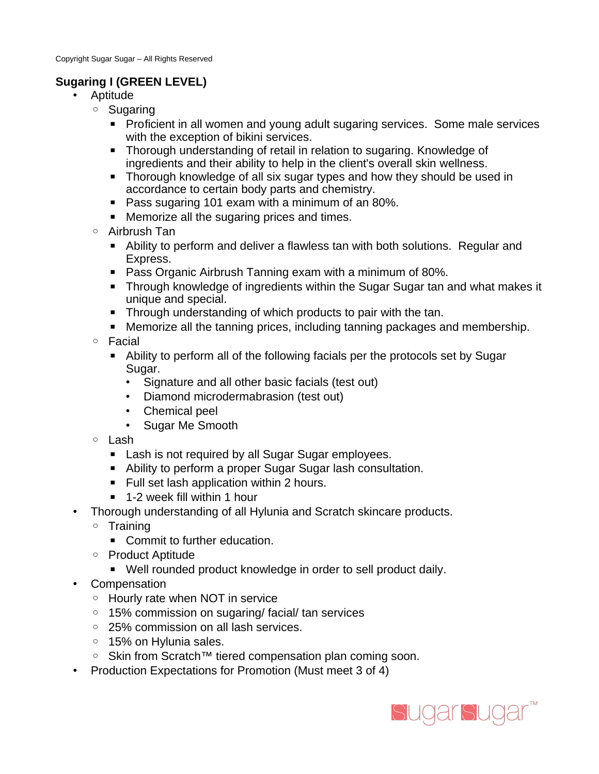# **Sugaring I (GREEN LEVEL)**

- Aptitude
	- Sugaring
		- Proficient in all women and young adult sugaring services. Some male services with the exception of bikini services.
		- Thorough understanding of retail in relation to sugaring. Knowledge of ingredients and their ability to help in the client's overall skin wellness.
		- Thorough knowledge of all six sugar types and how they should be used in accordance to certain body parts and chemistry.
		- Pass sugaring 101 exam with a minimum of an 80%.
		- Memorize all the sugaring prices and times.
	- Airbrush Tan
		- Ability to perform and deliver a flawless tan with both solutions. Regular and Express.
		- Pass Organic Airbrush Tanning exam with a minimum of 80%.
		- Through knowledge of ingredients within the Sugar Sugar tan and what makes it unique and special.
		- Through understanding of which products to pair with the tan.
		- Memorize all the tanning prices, including tanning packages and membership.
	- Facial
		- Ability to perform all of the following facials per the protocols set by Sugar Sugar.
			- Signature and all other basic facials (test out)
			- Diamond microdermabrasion (test out)
			- Chemical peel
			- Sugar Me Smooth
	- Lash
		- Lash is not required by all Sugar Sugar employees.
		- Ability to perform a proper Sugar Sugar lash consultation.
		- Full set lash application within 2 hours.
		- 1-2 week fill within 1 hour
- Thorough understanding of all Hylunia and Scratch skincare products.
	- Training
		- Commit to further education.
	- Product Aptitude
		- Well rounded product knowledge in order to sell product daily.
- Compensation
	- Hourly rate when NOT in service
	- 15% commission on sugaring/ facial/ tan services
	- 25% commission on all lash services.
	- 15% on Hylunia sales.
	- Skin from Scratch™ tiered compensation plan coming soon.
- Production Expectations for Promotion (Must meet 3 of 4)

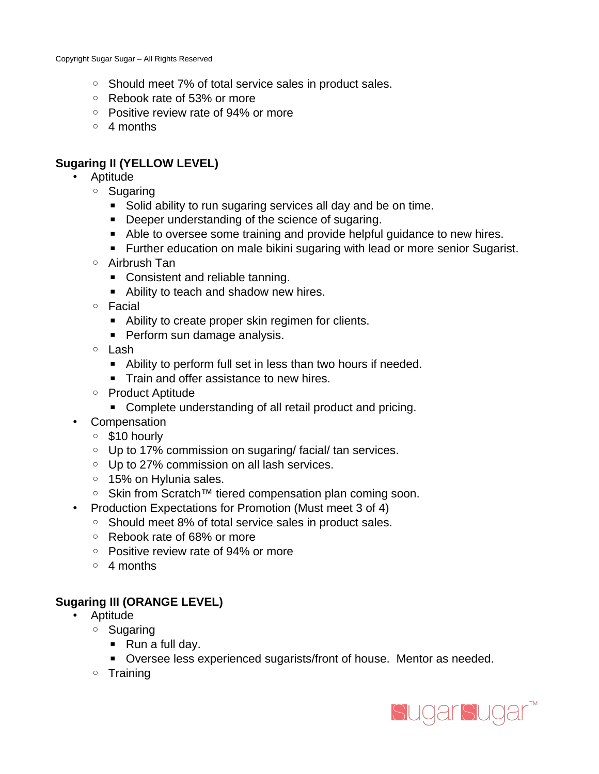- Should meet 7% of total service sales in product sales.
- Rebook rate of 53% or more
- Positive review rate of 94% or more
- 4 months

# **Sugaring II (YELLOW LEVEL)**

- Aptitude
	- Sugaring
		- Solid ability to run sugaring services all day and be on time.
		- Deeper understanding of the science of sugaring.
		- Able to oversee some training and provide helpful guidance to new hires.
		- Further education on male bikini sugaring with lead or more senior Sugarist.
	- Airbrush Tan
		- Consistent and reliable tanning.
		- Ability to teach and shadow new hires.
	- Facial
		- Ability to create proper skin regimen for clients.
		- Perform sun damage analysis.
	- Lash
		- Ability to perform full set in less than two hours if needed.
		- Train and offer assistance to new hires.
	- Product Aptitude
		- Complete understanding of all retail product and pricing.
- Compensation
	- \$10 hourly
	- Up to 17% commission on sugaring/ facial/ tan services.
	- Up to 27% commission on all lash services.
	- 15% on Hylunia sales.
	- Skin from Scratch™ tiered compensation plan coming soon.
- Production Expectations for Promotion (Must meet 3 of 4)
	- Should meet 8% of total service sales in product sales.
	- Rebook rate of 68% or more
	- Positive review rate of 94% or more
	- 4 months

## **Sugaring III (ORANGE LEVEL)**

- Aptitude
	- Sugaring
		- Run a full day.
		- Oversee less experienced sugarists/front of house. Mentor as needed.
	- Training

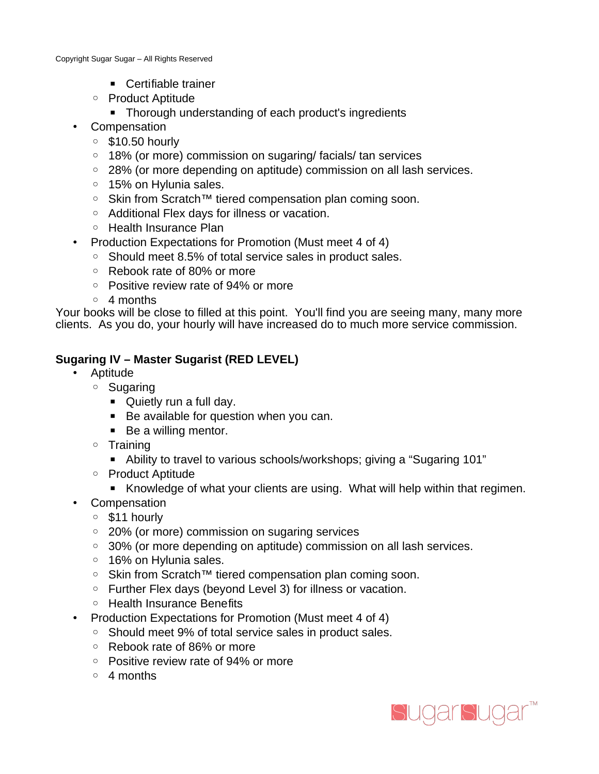- Certifiable trainer
- Product Aptitude
	- Thorough understanding of each product's ingredients
- Compensation
	- \$10.50 hourly
	- 18% (or more) commission on sugaring/ facials/ tan services
	- 28% (or more depending on aptitude) commission on all lash services.
	- 15% on Hylunia sales.
	- Skin from Scratch™ tiered compensation plan coming soon.
	- Additional Flex days for illness or vacation.
	- Health Insurance Plan
- Production Expectations for Promotion (Must meet 4 of 4)
	- Should meet 8.5% of total service sales in product sales.
	- Rebook rate of 80% or more
	- Positive review rate of 94% or more
	- 4 months

Your books will be close to filled at this point. You'll find you are seeing many, many more clients. As you do, your hourly will have increased do to much more service commission.

## **Sugaring IV – Master Sugarist (RED LEVEL)**

- Aptitude
	- Sugaring
		- Quietly run a full day.
		- Be available for question when you can.
		- Be a willing mentor.
	- Training
		- Ability to travel to various schools/workshops; giving a "Sugaring 101"
	- Product Aptitude
		- Knowledge of what your clients are using. What will help within that regimen.
- Compensation
	- \$11 hourly
	- 20% (or more) commission on sugaring services
	- 30% (or more depending on aptitude) commission on all lash services.
	- 16% on Hylunia sales.
	- Skin from Scratch™ tiered compensation plan coming soon.
	- Further Flex days (beyond Level 3) for illness or vacation.
	- Health Insurance Benefits
- Production Expectations for Promotion (Must meet 4 of 4)
	- Should meet 9% of total service sales in product sales.
	- Rebook rate of 86% or more
	- Positive review rate of 94% or more
	- 4 months